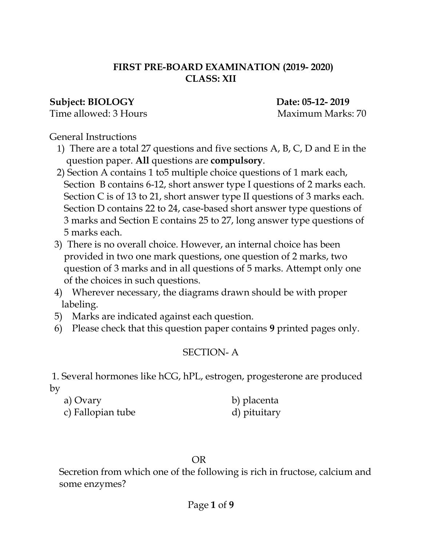#### **FIRST PRE-BOARD EXAMINATION (2019- 2020) CLASS: XII**

#### **Subject: BIOLOGY Date: 05-12- 2019**

Time allowed: 3 Hours Maximum Marks: 70

General Instructions

- 1) There are a total 27 questions and five sections A, B, C, D and E in the question paper. **All** questions are **compulsory**.
- 2) Section A contains 1 to5 multiple choice questions of 1 mark each, Section B contains 6-12, short answer type I questions of 2 marks each. Section C is of 13 to 21, short answer type II questions of 3 marks each. Section D contains 22 to 24, case-based short answer type questions of 3 marks and Section E contains 25 to 27, long answer type questions of 5 marks each.
- 3) There is no overall choice. However, an internal choice has been provided in two one mark questions, one question of 2 marks, two question of 3 marks and in all questions of 5 marks. Attempt only one of the choices in such questions.
- 4) Wherever necessary, the diagrams drawn should be with proper labeling.
- 5) Marks are indicated against each question.
- 6) Please check that this question paper contains **9** printed pages only.

### SECTION- A

1. Several hormones like hCG, hPL, estrogen, progesterone are produced by

| a) Ovary          | b) placenta  |
|-------------------|--------------|
| c) Fallopian tube | d) pituitary |

#### **OR** Service Service Service Service Service Service Service Service Service Service Service Service Service Service Service Service Service Service Service Service Service Service Service Service Service Service Service S

 Secretion from which one of the following is rich in fructose, calcium and some enzymes?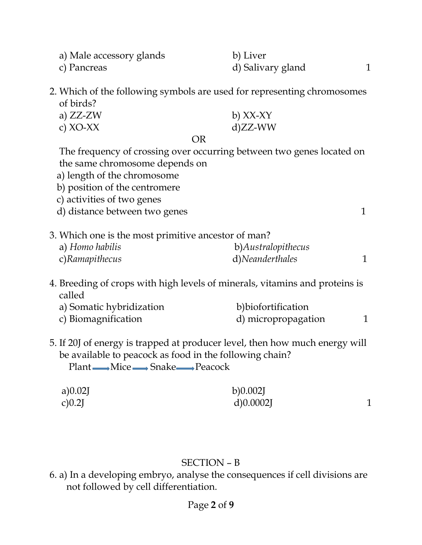| a) Male accessory glands                                                                                                                                                                     | b) Liver            |              |
|----------------------------------------------------------------------------------------------------------------------------------------------------------------------------------------------|---------------------|--------------|
| c) Pancreas                                                                                                                                                                                  | d) Salivary gland   | 1            |
| 2. Which of the following symbols are used for representing chromosomes                                                                                                                      |                     |              |
| of birds?                                                                                                                                                                                    |                     |              |
| a) $ZZ-ZW$                                                                                                                                                                                   | $b)$ XX-XY          |              |
| c) $XO-XX$                                                                                                                                                                                   | $d)ZZ-WW$           |              |
| <b>OR</b>                                                                                                                                                                                    |                     |              |
| The frequency of crossing over occurring between two genes located on                                                                                                                        |                     |              |
| the same chromosome depends on                                                                                                                                                               |                     |              |
| a) length of the chromosome                                                                                                                                                                  |                     |              |
| b) position of the centromere                                                                                                                                                                |                     |              |
| c) activities of two genes                                                                                                                                                                   |                     |              |
| d) distance between two genes                                                                                                                                                                |                     | $\mathbf{1}$ |
| 3. Which one is the most primitive ancestor of man?                                                                                                                                          |                     |              |
| a) Homo habilis                                                                                                                                                                              | b)Australopithecus  |              |
| c)Ramapithecus                                                                                                                                                                               | d)Neanderthales     | $\mathbf{1}$ |
| 4. Breeding of crops with high levels of minerals, vitamins and proteins is<br>called                                                                                                        |                     |              |
| a) Somatic hybridization                                                                                                                                                                     | b)biofortification  |              |
| c) Biomagnification                                                                                                                                                                          | d) micropropagation | 1            |
| 5. If 20J of energy is trapped at producer level, then how much energy will<br>be available to peacock as food in the following chain?<br>Plant <u></u> <i>Mice m</i> Snake <i>m</i> Peacock |                     |              |
| a)0.02J                                                                                                                                                                                      | b)0.002J            |              |
| c)0.2J                                                                                                                                                                                       | d)0.0002            | $\mathbf{1}$ |

## SECTION – B

6. a) In a developing embryo, analyse the consequences if cell divisions are not followed by cell differentiation.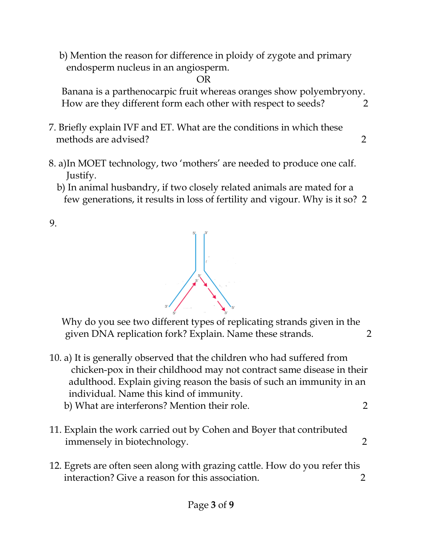b) Mention the reason for difference in ploidy of zygote and primary endosperm nucleus in an angiosperm.

**OR** Service Service Service Service Service Service Service Service Service Service Service Service Service Service Service Service Service Service Service Service Service Service Service Service Service Service Service S

 Banana is a parthenocarpic fruit whereas oranges show polyembryony. How are they different form each other with respect to seeds? 2

- 7. Briefly explain IVF and ET. What are the conditions in which these methods are advised? 2
- 8. a)In MOET technology, two 'mothers' are needed to produce one calf. Justify.
	- b) In animal husbandry, if two closely related animals are mated for a few generations, it results in loss of fertility and vigour. Why is it so? 2

9.

 Why do you see two different types of replicating strands given in the given DNA replication fork? Explain. Name these strands. 2

- 10. a) It is generally observed that the children who had suffered from chicken-pox in their childhood may not contract same disease in their adulthood. Explain giving reason the basis of such an immunity in an individual. Name this kind of immunity. b) What are interferons? Mention their role. 2
- 11. Explain the work carried out by Cohen and Boyer that contributed immensely in biotechnology. 2
- 12. Egrets are often seen along with grazing cattle. How do you refer this interaction? Give a reason for this association. 2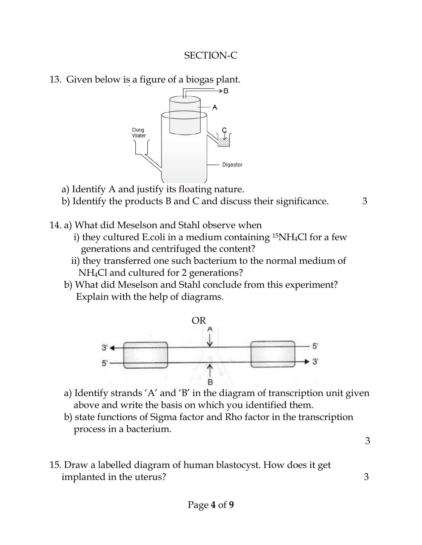#### SECTION-C

13. Given below is a figure of a biogas plant.



- a) Identify A and justify its floating nature.
- b) Identify the products B and C and discuss their significance. 3

- 14. a) What did Meselson and Stahl observe when
	- i) they cultured E.coli in a medium containing 15NH4Cl for a few generations and centrifuged the content?
	- ii) they transferred one such bacterium to the normal medium of NH4Cl and cultured for 2 generations?
	- b) What did Meselson and Stahl conclude from this experiment? Explain with the help of diagrams.



- a) Identify strands 'A' and 'B' in the diagram of transcription unit given above and write the basis on which you identified them.
- b) state functions of Sigma factor and Rho factor in the transcription process in a bacterium.

3

15. Draw a labelled diagram of human blastocyst. How does it get implanted in the uterus? 3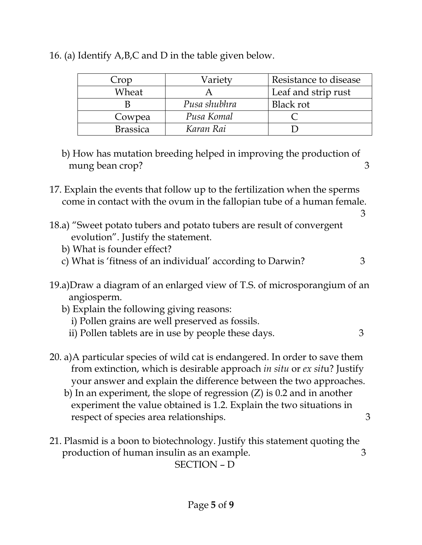| Crop            | Variety      | Resistance to disease |
|-----------------|--------------|-----------------------|
| Wheat           |              | Leaf and strip rust   |
|                 | Pusa shubhra | Black rot             |
| Cowpea          | Pusa Komal   |                       |
| <b>Brassica</b> | Karan Rai    |                       |

16. (a) Identify A,B,C and D in the table given below.

- b) How has mutation breeding helped in improving the production of mung bean crop? 3
- 17. Explain the events that follow up to the fertilization when the sperms come in contact with the ovum in the fallopian tube of a human female.
- 3 18.a) "Sweet potato tubers and potato tubers are result of convergent evolution". Justify the statement.
	- b) What is founder effect?
	- c) What is 'fitness of an individual' according to Darwin?  $\frac{3}{2}$
- 19.a)Draw a diagram of an enlarged view of T.S. of microsporangium of an angiosperm.
	- b) Explain the following giving reasons:
		- i) Pollen grains are well preserved as fossils.
		- ii) Pollen tablets are in use by people these days.  $\frac{3}{2}$
- 20. a)A particular species of wild cat is endangered. In order to save them from extinction, which is desirable approach *in situ* or *ex sit*u? Justify your answer and explain the difference between the two approaches.
	- b) In an experiment, the slope of regression (Z) is 0.2 and in another experiment the value obtained is 1.2. Explain the two situations in respect of species area relationships. 3
- 21. Plasmid is a boon to biotechnology. Justify this statement quoting the production of human insulin as an example.  $\qquad \qquad 3$

SECTION – D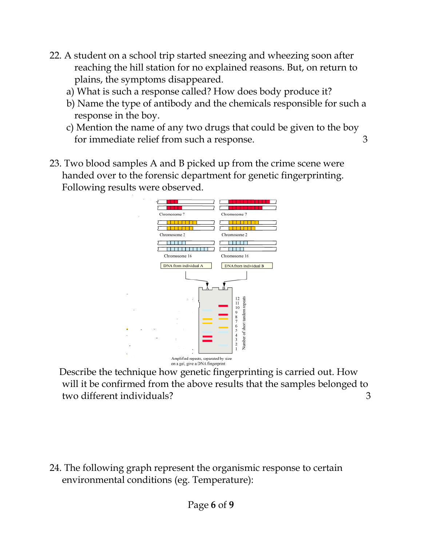- 22. A student on a school trip started sneezing and wheezing soon after reaching the hill station for no explained reasons. But, on return to plains, the symptoms disappeared.
	- a) What is such a response called? How does body produce it?
	- b) Name the type of antibody and the chemicals responsible for such a response in the boy.
	- c) Mention the name of any two drugs that could be given to the boy for immediate relief from such a response. 3
- 23. Two blood samples A and B picked up from the crime scene were handed over to the forensic department for genetic fingerprinting. Following results were observed.



 Describe the technique how genetic fingerprinting is carried out. How will it be confirmed from the above results that the samples belonged to two different individuals? 3

24. The following graph represent the organismic response to certain environmental conditions (eg. Temperature):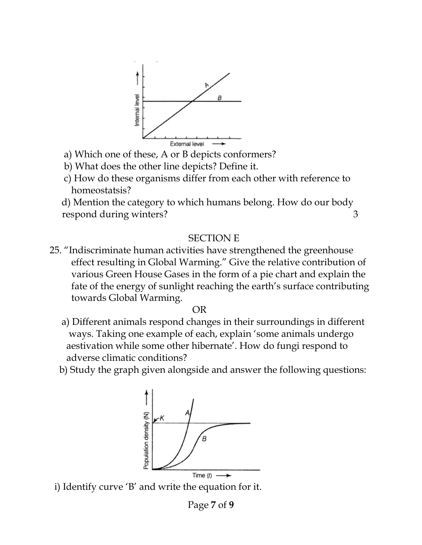

- a) Which one of these, A or B depicts conformers?
- b) What does the other line depicts? Define it.
- c) How do these organisms differ from each other with reference to homeostatsis?

 d) Mention the category to which humans belong. How do our body respond during winters? 3

#### SECTION E

25. "Indiscriminate human activities have strengthened the greenhouse effect resulting in Global Warming." Give the relative contribution of various Green House Gases in the form of a pie chart and explain the fate of the energy of sunlight reaching the earth's surface contributing towards Global Warming.

**OR** Service Service Service Service Service Service Service Service Service Service Service Service Service Service Service Service Service Service Service Service Service Service Service Service Service Service Service S

- a) Different animals respond changes in their surroundings in different ways. Taking one example of each, explain 'some animals undergo aestivation while some other hibernate'. How do fungi respond to adverse climatic conditions?
- b) Study the graph given alongside and answer the following questions:



i) Identify curve 'B' and write the equation for it.

Page **7** of **9**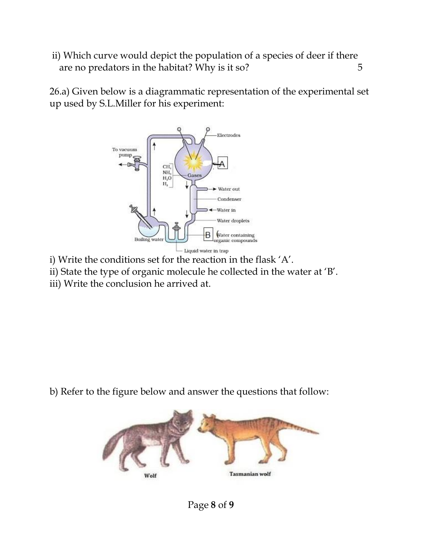ii) Which curve would depict the population of a species of deer if there are no predators in the habitat? Why is it so? 5

26.a) Given below is a diagrammatic representation of the experimental set up used by S.L.Miller for his experiment:



- i) Write the conditions set for the reaction in the flask 'A'.
- ii) State the type of organic molecule he collected in the water at 'B'.
- iii) Write the conclusion he arrived at.

b) Refer to the figure below and answer the questions that follow: